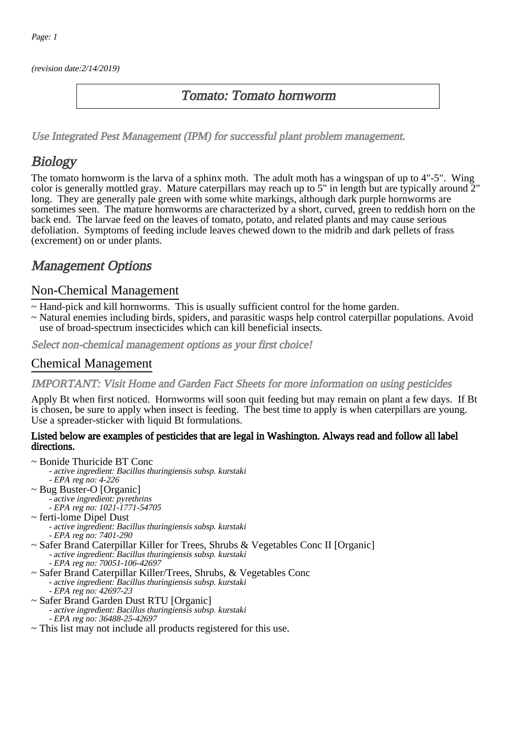(revision date:2/14/2019)

### Tomato: Tomato hornworm

[Use Integrated Pest Management \(IPM\) for successful plant problem management.](http://pep.wsu.edu/Home_Garden/H_G_Pesticide_info/urban_Integrated_Pest_Managmen/)

# **Biology**

The tomato hornworm is the larva of a sphinx moth. The adult moth has a wingspan of up to 4"-5". Wing color is generally mottled gray. Mature caterpillars may reach up to 5" in length but are typically around 2" long. They are generally pale green with some white markings, although dark purple hornworms are sometimes seen. The mature hornworms are characterized by a short, curved, green to reddish horn on the back end. The larvae feed on the leaves of tomato, potato, and related plants and may cause serious defoliation. Symptoms of feeding include leaves chewed down to the midrib and dark pellets of frass (excrement) on or under plants.

### Management Options

### Non-Chemical Management

- ~ Hand-pick and kill hornworms. This is usually sufficient control for the home garden.
- ~ Natural enemies including birds, spiders, and parasitic wasps help control caterpillar populations. Avoid use of broad-spectrum insecticides which can kill beneficial insects.

Select non-chemical management options as your first choice!

### Chemical Management

#### IMPORTANT: [Visit Home and Garden Fact Sheets for more information on using pesticides](http://pep.wsu.edu/Home_Garden/H_G_Pesticide_info/)

Apply Bt when first noticed. Hornworms will soon quit feeding but may remain on plant a few days. If Bt is chosen, be sure to apply when insect is feeding. The best time to apply is when caterpillars are young. Use a spreader-sticker with liquid Bt formulations.

#### Listed below are examples of pesticides that are legal in Washington. Always read and follow all label directions.

- ~ Bonide Thuricide BT Conc
	- active ingredient: Bacillus thuringiensis subsp. kurstaki
	- EPA reg no: 4-226
- ~ Bug Buster-O [Organic] - active ingredient: pyrethrins
	- EPA reg no: 1021-1771-54705
- ~ ferti-lome Dipel Dust - active ingredient: Bacillus thuringiensis subsp. kurstaki - EPA reg no: 7401-290
- ~ Safer Brand Caterpillar Killer for Trees, Shrubs & Vegetables Conc II [Organic] - active ingredient: Bacillus thuringiensis subsp. kurstaki - EPA reg no: 70051-106-42697
- ~ Safer Brand Caterpillar Killer/Trees, Shrubs, & Vegetables Conc - active ingredient: Bacillus thuringiensis subsp. kurstaki - EPA reg no: 42697-23
- ~ Safer Brand Garden Dust RTU [Organic]
	- active ingredient: Bacillus thuringiensis subsp. kurstaki
		- EPA reg no: 36488-25-42697
- ~ This list may not include all products registered for this use.